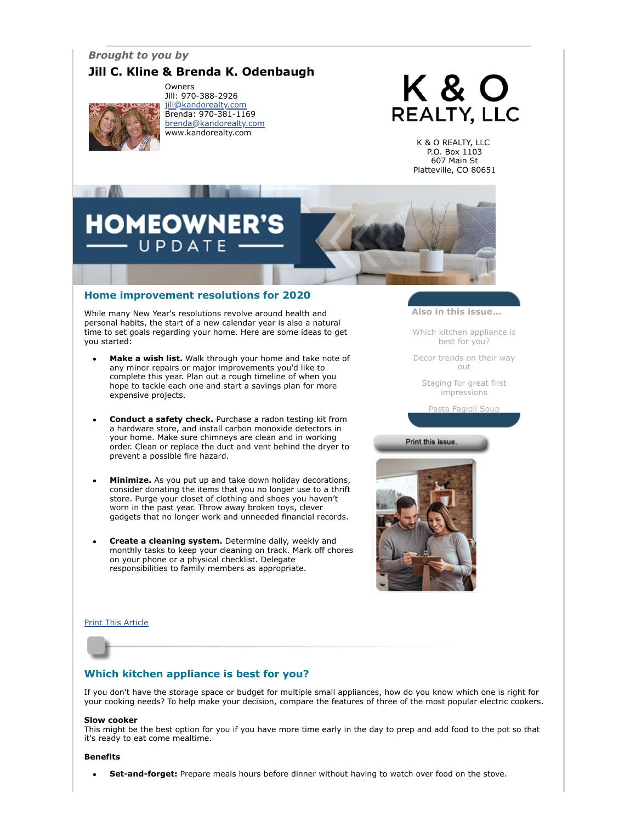## *Brought to you by*

## **Jill C. Kline & Brenda K. Odenbaugh**



Owners Jill: 970-388-2926 [jill@kandorealty.com](mailto:jill@kandorealty.com) Brenda: 970-381-1169 [brenda@kandorealty.com](mailto:brenda@kandorealty.com) www.kandorealty.com

# K & O **REALTY, LLC**

K & O REALTY, LLC P.O. Box 1103 607 Main St Platteville, CO 80651

## **DMEOWN** PDATE

## **Home improvement resolutions for 2020**

While many New Year's resolutions revolve around health and personal habits, the start of a new calendar year is also a natural time to set goals regarding your home. Here are some ideas to get you started:

- **Make a wish list.** Walk through your home and take note of any minor repairs or major improvements you'd like to complete this year. Plan out a rough timeline of when you hope to tackle each one and start a savings plan for more expensive projects.
- **Conduct a safety check.** Purchase a radon testing kit from a hardware store, and install carbon monoxide detectors in your home. Make sure chimneys are clean and in working order. Clean or replace the duct and vent behind the dryer to prevent a possible fire hazard.
- **Minimize.** As you put up and take down holiday decorations, consider donating the items that you no longer use to a thrift store. Purge your closet of clothing and shoes you haven't worn in the past year. Throw away broken toys, clever gadgets that no longer work and unneeded financial records.
- **Create a cleaning system.** Determine daily, weekly and monthly tasks to keep your cleaning on track. Mark off chores on your phone or a physical checklist. Delegate responsibilities to family members as appropriate.

**Also in this issue...**

[Which kitchen appliance is](#page-0-0) best for you?

[Decor trends on their way](#page-1-0) out

[Staging for great first](#page-1-1) impressions

[Pasta Fagioli Soup](#page-2-0)

Print this issue.



[Print This Article](javascript:print();)

## <span id="page-0-0"></span>**Which kitchen appliance is best for you?**

If you don't have the storage space or budget for multiple small appliances, how do you know which one is right for your cooking needs? To help make your decision, compare the features of three of the most popular electric cookers.

#### **Slow cooker**

This might be the best option for you if you have more time early in the day to prep and add food to the pot so that it's ready to eat come mealtime.

#### **Benefits**

**Set-and-forget:** Prepare meals hours before dinner without having to watch over food on the stove. $\bullet$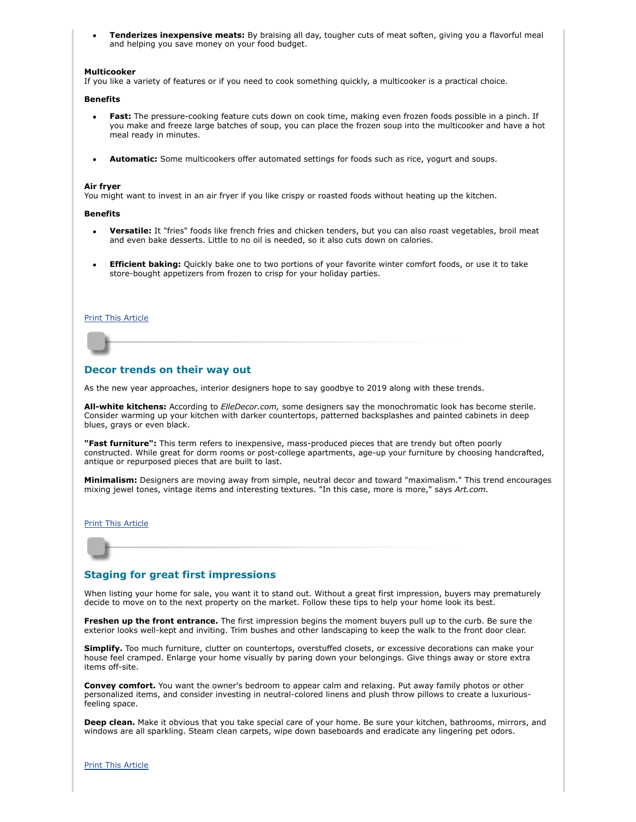**Tenderizes inexpensive meats:** By braising all day, tougher cuts of meat soften, giving you a flavorful meal and helping you save money on your food budget.

#### **Multicooker**

If you like a variety of features or if you need to cook something quickly, a multicooker is a practical choice.

#### **Benefits**

- **Fast:** The pressure-cooking feature cuts down on cook time, making even frozen foods possible in a pinch. If you make and freeze large batches of soup, you can place the frozen soup into the multicooker and have a hot meal ready in minutes.
- **Automatic:** Some multicookers offer automated settings for foods such as rice, yogurt and soups.

#### **Air fryer**

You might want to invest in an air fryer if you like crispy or roasted foods without heating up the kitchen.

#### **Benefits**

- **Versatile:** It "fries" foods like french fries and chicken tenders, but you can also roast vegetables, broil meat and even bake desserts. Little to no oil is needed, so it also cuts down on calories.
- **Efficient baking:** Quickly bake one to two portions of your favorite winter comfort foods, or use it to take store-bought appetizers from frozen to crisp for your holiday parties.

#### [Print This Article](javascript:print();)

#### <span id="page-1-0"></span>**Decor trends on their way out**

As the new year approaches, interior designers hope to say goodbye to 2019 along with these trends.

**All-white kitchens:** According to *ElleDecor.com,* some designers say the monochromatic look has become sterile. Consider warming up your kitchen with darker countertops, patterned backsplashes and painted cabinets in deep blues, grays or even black.

**"Fast furniture":** This term refers to inexpensive, mass-produced pieces that are trendy but often poorly constructed. While great for dorm rooms or post-college apartments, age-up your furniture by choosing handcrafted, antique or repurposed pieces that are built to last.

**Minimalism:** Designers are moving away from simple, neutral decor and toward "maximalism." This trend encourages mixing jewel tones, vintage items and interesting textures. "In this case, more is more," says *Art.com.*

#### [Print This Article](javascript:print();)

#### <span id="page-1-1"></span>**Staging for great first impressions**

When listing your home for sale, you want it to stand out. Without a great first impression, buyers may prematurely decide to move on to the next property on the market. Follow these tips to help your home look its best.

**Freshen up the front entrance.** The first impression begins the moment buyers pull up to the curb. Be sure the exterior looks well-kept and inviting. Trim bushes and other landscaping to keep the walk to the front door clear.

**Simplify.** Too much furniture, clutter on countertops, overstuffed closets, or excessive decorations can make your house feel cramped. Enlarge your home visually by paring down your belongings. Give things away or store extra items off-site.

**Convey comfort.** You want the owner's bedroom to appear calm and relaxing. Put away family photos or other personalized items, and consider investing in neutral-colored linens and plush throw pillows to create a luxuriousfeeling space.

**Deep clean.** Make it obvious that you take special care of your home. Be sure your kitchen, bathrooms, mirrors, and windows are all sparkling. Steam clean carpets, wipe down baseboards and eradicate any lingering pet odors.